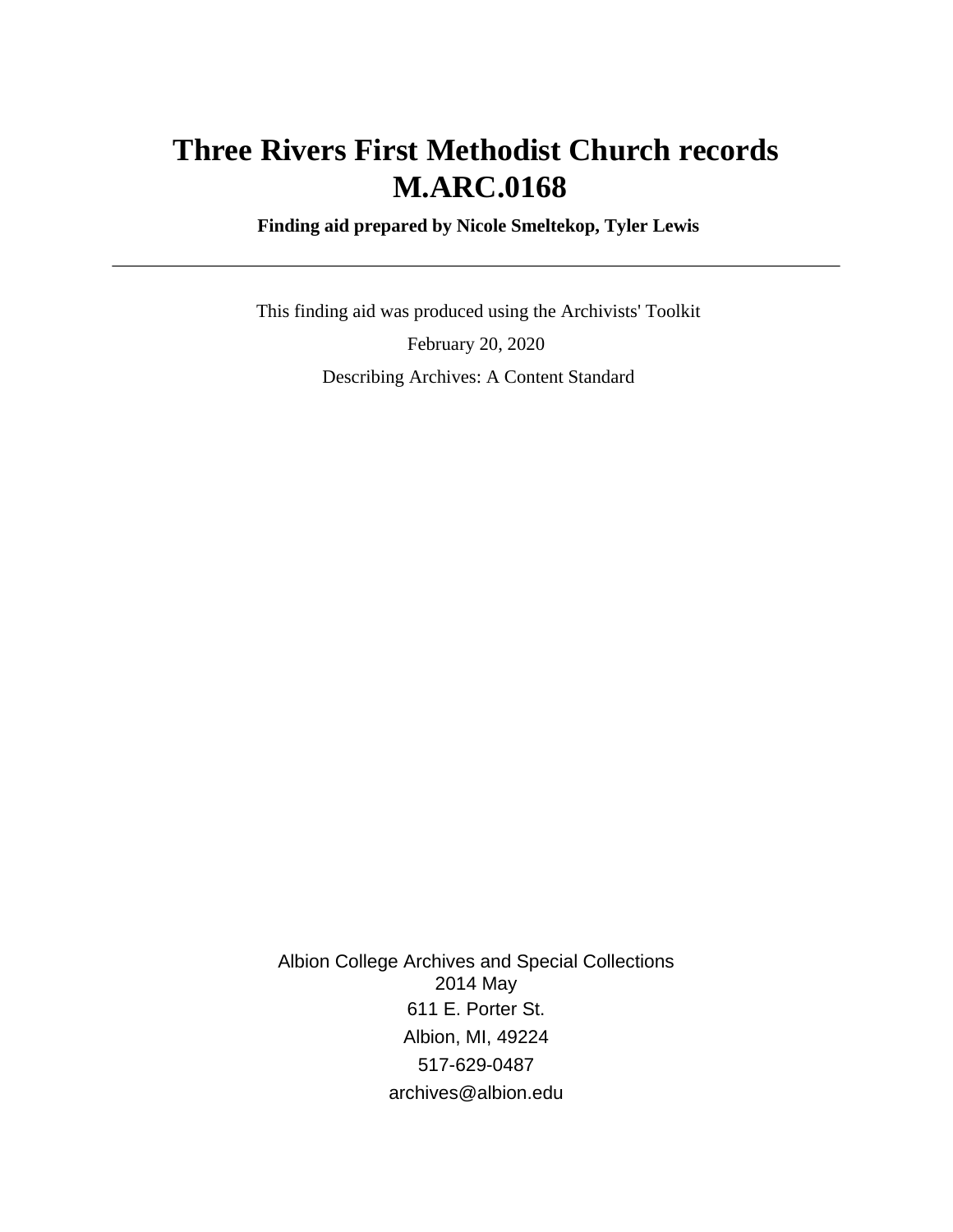# **Three Rivers First Methodist Church records M.ARC.0168**

 **Finding aid prepared by Nicole Smeltekop, Tyler Lewis**

 This finding aid was produced using the Archivists' Toolkit February 20, 2020 Describing Archives: A Content Standard

Albion College Archives and Special Collections 2014 May 611 E. Porter St. Albion, MI, 49224 517-629-0487 archives@albion.edu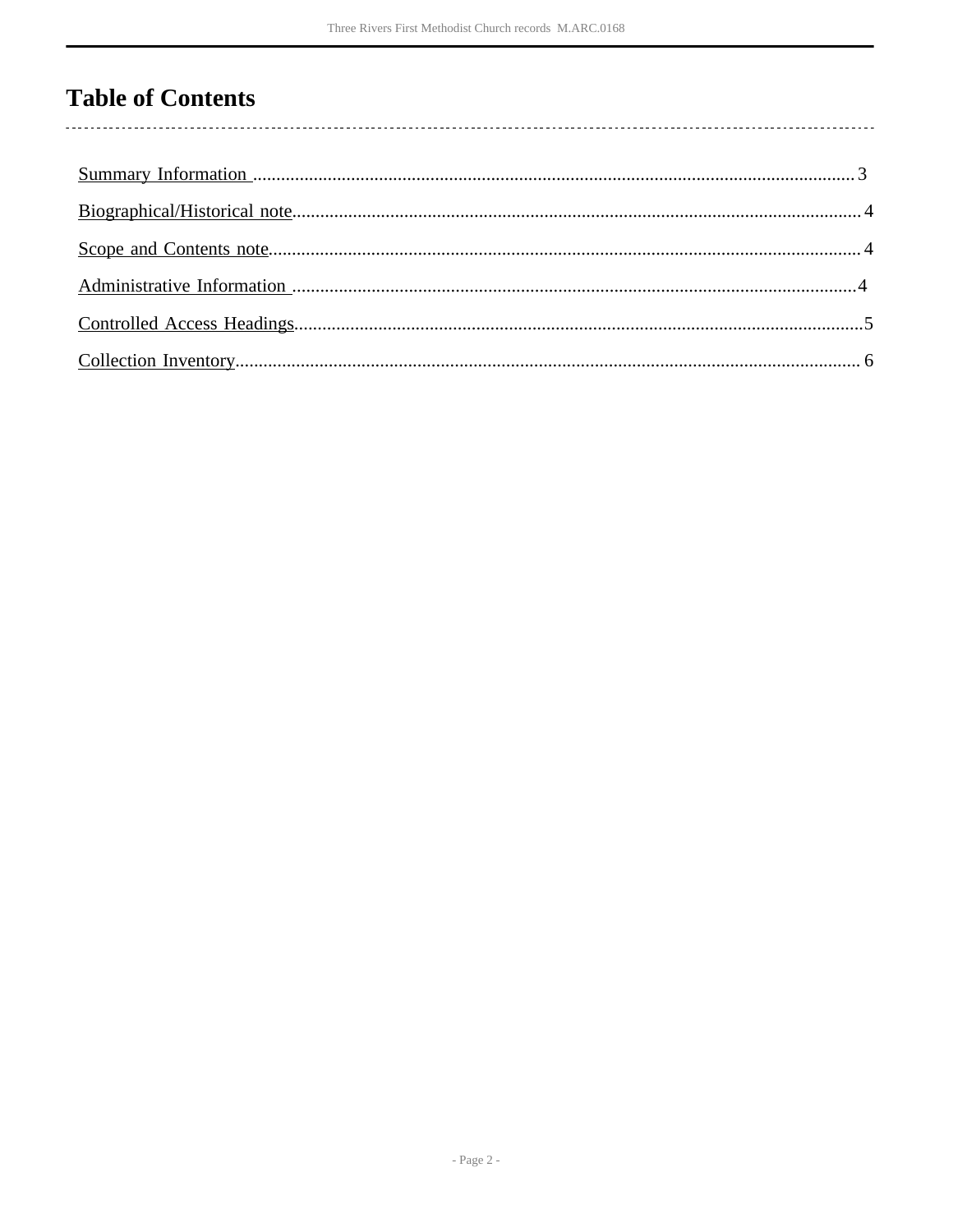# **Table of Contents**

 $\overline{\phantom{a}}$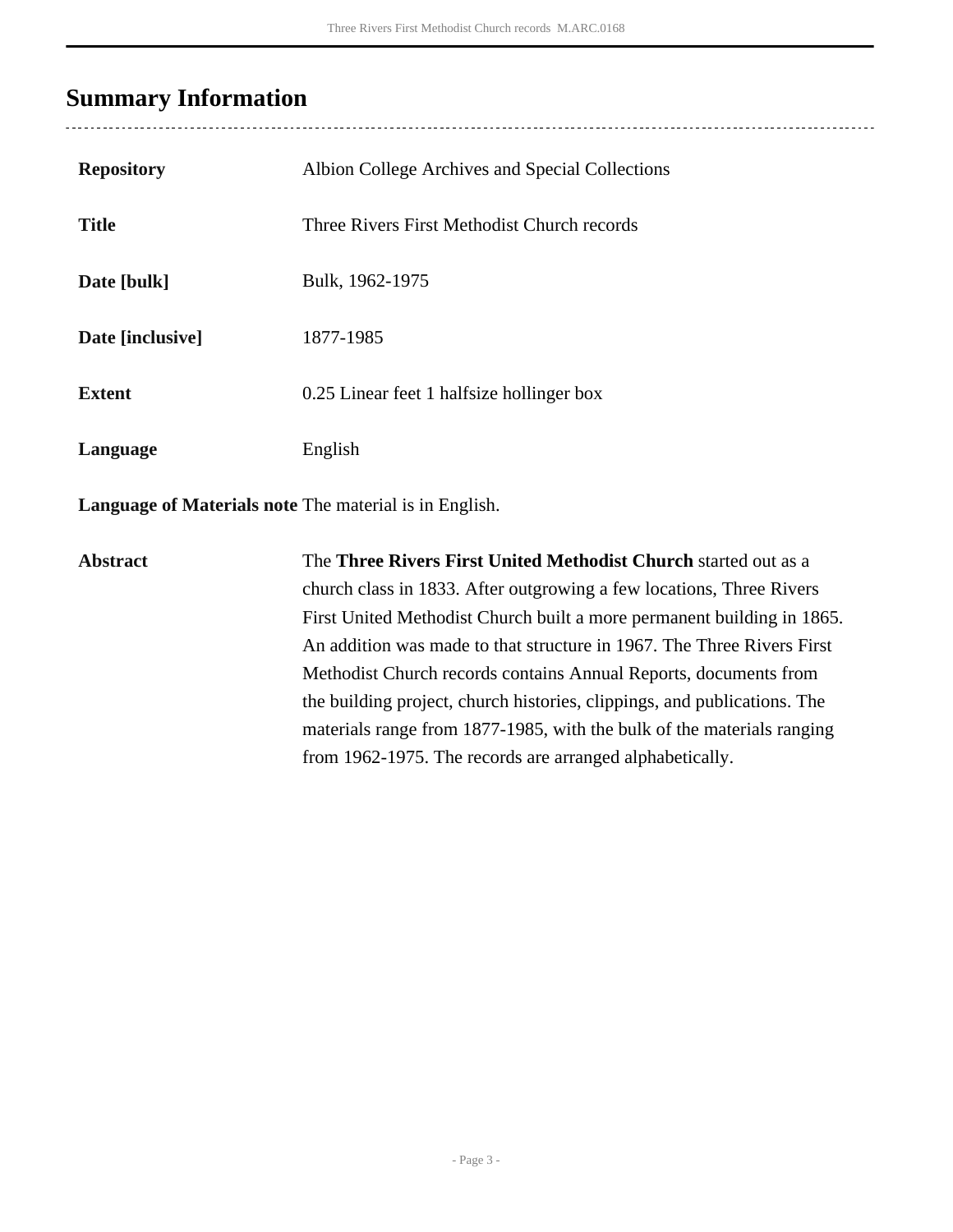## <span id="page-2-0"></span>**Summary Information**

| <b>Repository</b>                                             | Albion College Archives and Special Collections |  |  |  |  |
|---------------------------------------------------------------|-------------------------------------------------|--|--|--|--|
| <b>Title</b>                                                  | Three Rivers First Methodist Church records     |  |  |  |  |
| Date [bulk]                                                   | Bulk, 1962-1975                                 |  |  |  |  |
| Date [inclusive]                                              | 1877-1985                                       |  |  |  |  |
| <b>Extent</b>                                                 | 0.25 Linear feet 1 halfsize hollinger box       |  |  |  |  |
| Language                                                      | English                                         |  |  |  |  |
| <b>Language of Materials note</b> The material is in English. |                                                 |  |  |  |  |

**Abstract** The **Three Rivers First United Methodist Church** started out as a church class in 1833. After outgrowing a few locations, Three Rivers First United Methodist Church built a more permanent building in 1865. An addition was made to that structure in 1967. The Three Rivers First Methodist Church records contains Annual Reports, documents from the building project, church histories, clippings, and publications. The materials range from 1877-1985, with the bulk of the materials ranging from 1962-1975. The records are arranged alphabetically.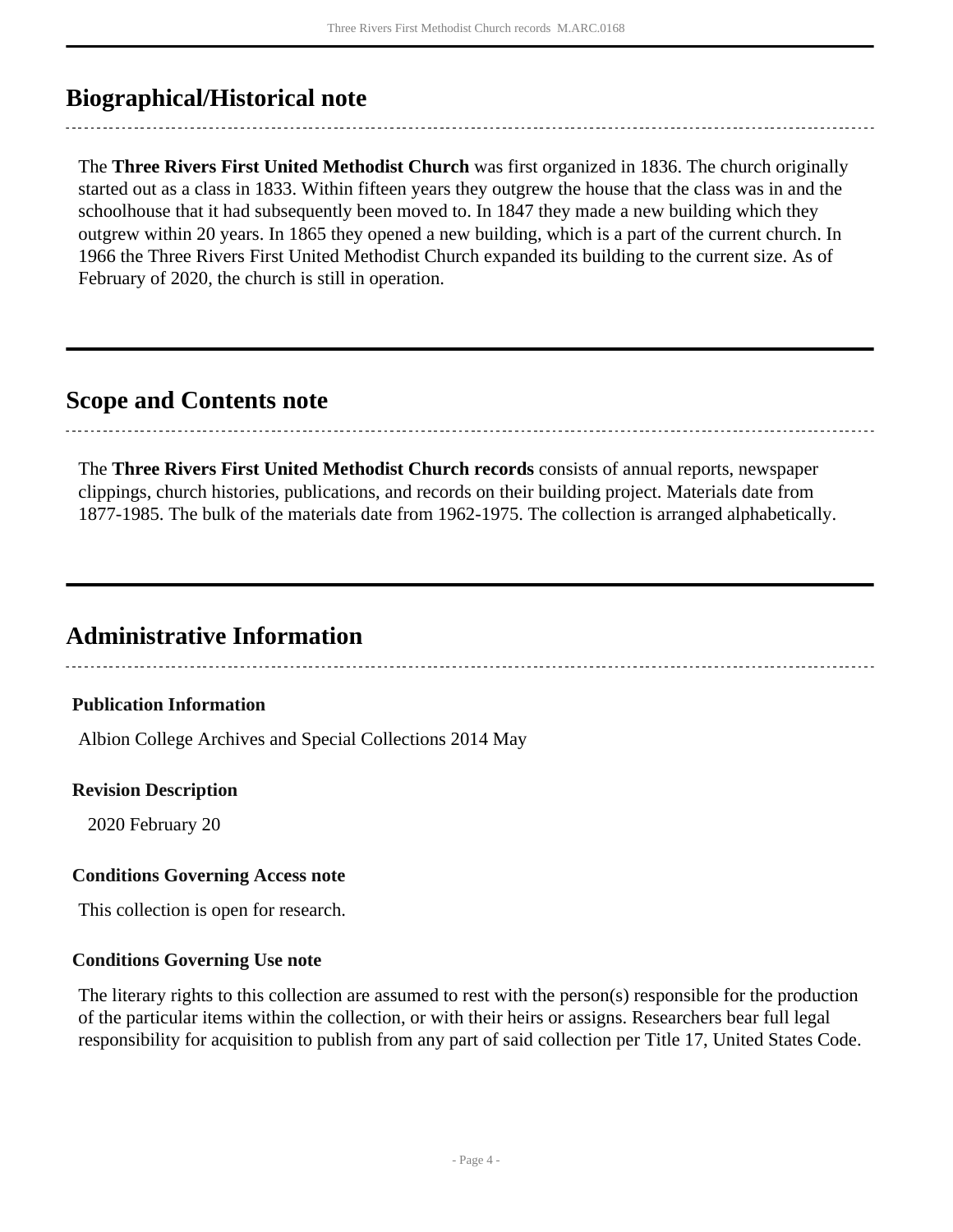## <span id="page-3-0"></span>**Biographical/Historical note**

The **Three Rivers First United Methodist Church** was first organized in 1836. The church originally started out as a class in 1833. Within fifteen years they outgrew the house that the class was in and the schoolhouse that it had subsequently been moved to. In 1847 they made a new building which they outgrew within 20 years. In 1865 they opened a new building, which is a part of the current church. In 1966 the Three Rivers First United Methodist Church expanded its building to the current size. As of February of 2020, the church is still in operation.

### <span id="page-3-1"></span>**Scope and Contents note**

The **Three Rivers First United Methodist Church records** consists of annual reports, newspaper clippings, church histories, publications, and records on their building project. Materials date from 1877-1985. The bulk of the materials date from 1962-1975. The collection is arranged alphabetically.

### <span id="page-3-2"></span>**Administrative Information**

#### **Publication Information**

Albion College Archives and Special Collections 2014 May

#### **Revision Description**

2020 February 20

#### **Conditions Governing Access note**

This collection is open for research.

#### **Conditions Governing Use note**

The literary rights to this collection are assumed to rest with the person(s) responsible for the production of the particular items within the collection, or with their heirs or assigns. Researchers bear full legal responsibility for acquisition to publish from any part of said collection per Title 17, United States Code.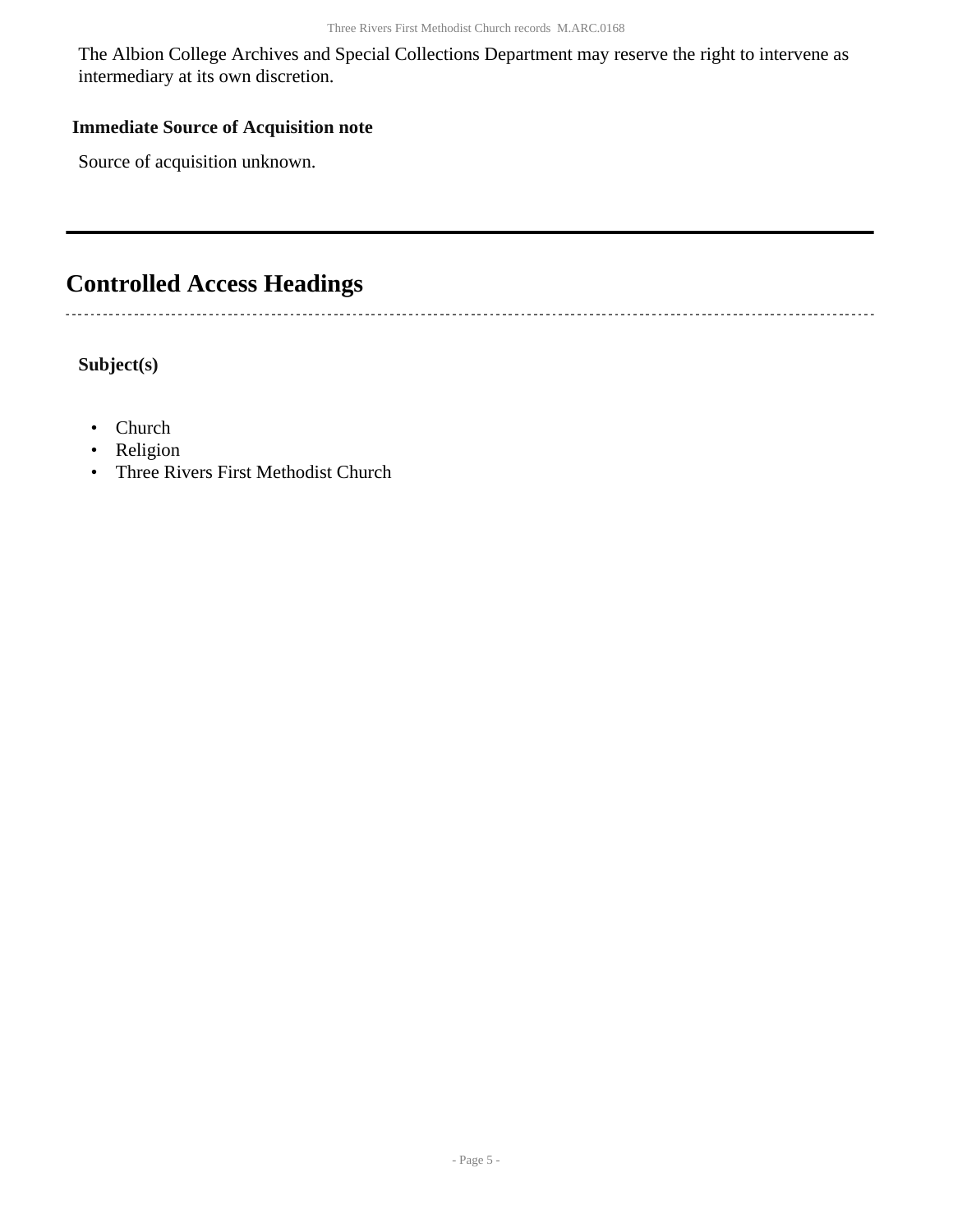The Albion College Archives and Special Collections Department may reserve the right to intervene as intermediary at its own discretion.

#### **Immediate Source of Acquisition note**

Source of acquisition unknown.

## <span id="page-4-0"></span>**Controlled Access Headings**

 $\overline{\phantom{a}}$ 

**Subject(s)**

- Church
- Religion
- Three Rivers First Methodist Church